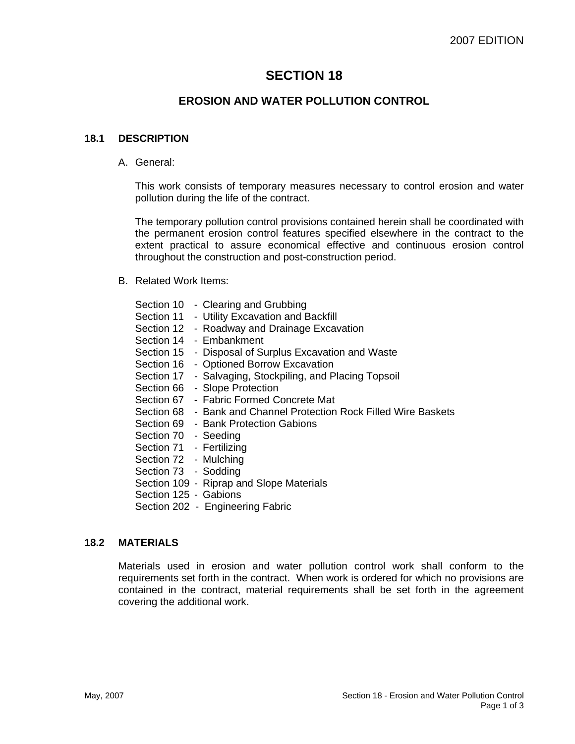# **SECTION 18**

# **EROSION AND WATER POLLUTION CONTROL**

# **18.1 DESCRIPTION**

A. General:

This work consists of temporary measures necessary to control erosion and water pollution during the life of the contract.

The temporary pollution control provisions contained herein shall be coordinated with the permanent erosion control features specified elsewhere in the contract to the extent practical to assure economical effective and continuous erosion control throughout the construction and post-construction period.

B. Related Work Items:

|  | Section 10 - Clearing and Grubbing                                |
|--|-------------------------------------------------------------------|
|  | Section 11 - Utility Excavation and Backfill                      |
|  | Section 12 - Roadway and Drainage Excavation                      |
|  | Section 14 - Embankment                                           |
|  | Section 15 - Disposal of Surplus Excavation and Waste             |
|  | Section 16 - Optioned Borrow Excavation                           |
|  | Section 17 - Salvaging, Stockpiling, and Placing Topsoil          |
|  | Section 66 - Slope Protection                                     |
|  | Section 67 - Fabric Formed Concrete Mat                           |
|  | Section 68 - Bank and Channel Protection Rock Filled Wire Baskets |
|  | Section 69 - Bank Protection Gabions                              |
|  | Section 70 - Seeding                                              |
|  | Section 71 - Fertilizing                                          |
|  | Section 72 - Mulching                                             |
|  | Section 73 - Sodding                                              |
|  | Section 109 - Riprap and Slope Materials                          |
|  | Section 125 - Gabions                                             |
|  | Section 202 - Engineering Fabric                                  |

# **18.2 MATERIALS**

Materials used in erosion and water pollution control work shall conform to the requirements set forth in the contract. When work is ordered for which no provisions are contained in the contract, material requirements shall be set forth in the agreement covering the additional work.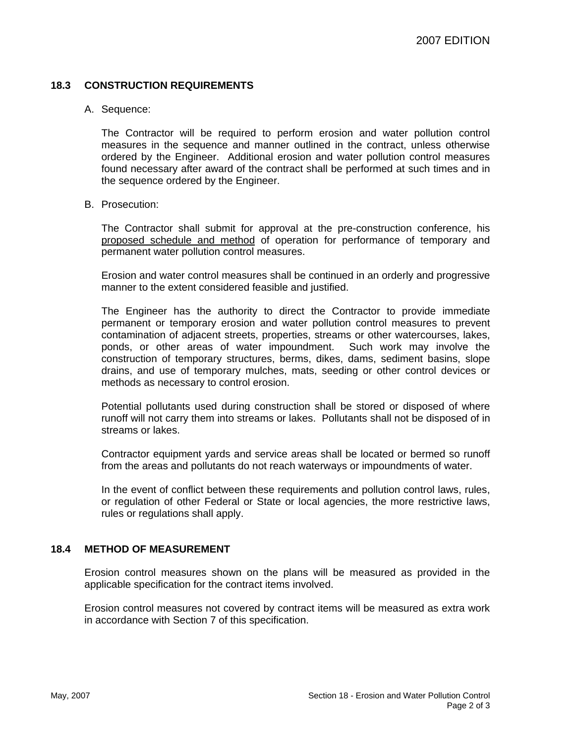# **18.3 CONSTRUCTION REQUIREMENTS**

#### A. Sequence:

The Contractor will be required to perform erosion and water pollution control measures in the sequence and manner outlined in the contract, unless otherwise ordered by the Engineer. Additional erosion and water pollution control measures found necessary after award of the contract shall be performed at such times and in the sequence ordered by the Engineer.

#### B. Prosecution:

The Contractor shall submit for approval at the pre-construction conference, his proposed schedule and method of operation for performance of temporary and permanent water pollution control measures.

Erosion and water control measures shall be continued in an orderly and progressive manner to the extent considered feasible and justified.

The Engineer has the authority to direct the Contractor to provide immediate permanent or temporary erosion and water pollution control measures to prevent contamination of adjacent streets, properties, streams or other watercourses, lakes, ponds, or other areas of water impoundment. Such work may involve the construction of temporary structures, berms, dikes, dams, sediment basins, slope drains, and use of temporary mulches, mats, seeding or other control devices or methods as necessary to control erosion.

Potential pollutants used during construction shall be stored or disposed of where runoff will not carry them into streams or lakes. Pollutants shall not be disposed of in streams or lakes.

Contractor equipment yards and service areas shall be located or bermed so runoff from the areas and pollutants do not reach waterways or impoundments of water.

In the event of conflict between these requirements and pollution control laws, rules, or regulation of other Federal or State or local agencies, the more restrictive laws, rules or regulations shall apply.

#### **18.4 METHOD OF MEASUREMENT**

Erosion control measures shown on the plans will be measured as provided in the applicable specification for the contract items involved.

Erosion control measures not covered by contract items will be measured as extra work in accordance with Section 7 of this specification.